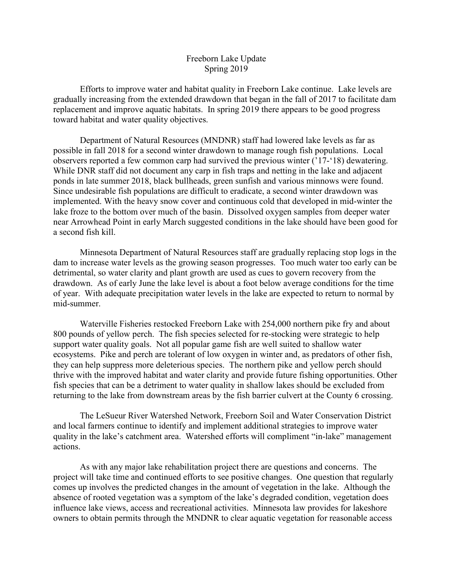## Freeborn Lake Update Spring 2019

Efforts to improve water and habitat quality in Freeborn Lake continue. Lake levels are gradually increasing from the extended drawdown that began in the fall of 2017 to facilitate dam replacement and improve aquatic habitats. In spring 2019 there appears to be good progress toward habitat and water quality objectives.

Department of Natural Resources (MNDNR) staff had lowered lake levels as far as possible in fall 2018 for a second winter drawdown to manage rough fish populations. Local observers reported a few common carp had survived the previous winter ('17-'18) dewatering. While DNR staff did not document any carp in fish traps and netting in the lake and adjacent ponds in late summer 2018, black bullheads, green sunfish and various minnows were found. Since undesirable fish populations are difficult to eradicate, a second winter drawdown was implemented. With the heavy snow cover and continuous cold that developed in mid-winter the lake froze to the bottom over much of the basin. Dissolved oxygen samples from deeper water near Arrowhead Point in early March suggested conditions in the lake should have been good for a second fish kill.

Minnesota Department of Natural Resources staff are gradually replacing stop logs in the dam to increase water levels as the growing season progresses. Too much water too early can be detrimental, so water clarity and plant growth are used as cues to govern recovery from the drawdown. As of early June the lake level is about a foot below average conditions for the time of year. With adequate precipitation water levels in the lake are expected to return to normal by mid-summer.

Waterville Fisheries restocked Freeborn Lake with 254,000 northern pike fry and about 800 pounds of yellow perch. The fish species selected for re-stocking were strategic to help support water quality goals. Not all popular game fish are well suited to shallow water ecosystems. Pike and perch are tolerant of low oxygen in winter and, as predators of other fish, they can help suppress more deleterious species. The northern pike and yellow perch should thrive with the improved habitat and water clarity and provide future fishing opportunities. Other fish species that can be a detriment to water quality in shallow lakes should be excluded from returning to the lake from downstream areas by the fish barrier culvert at the County 6 crossing.

The LeSueur River Watershed Network, Freeborn Soil and Water Conservation District and local farmers continue to identify and implement additional strategies to improve water quality in the lake's catchment area. Watershed efforts will compliment "in-lake" management actions.

As with any major lake rehabilitation project there are questions and concerns. The project will take time and continued efforts to see positive changes. One question that regularly comes up involves the predicted changes in the amount of vegetation in the lake. Although the absence of rooted vegetation was a symptom of the lake's degraded condition, vegetation does influence lake views, access and recreational activities. Minnesota law provides for lakeshore owners to obtain permits through the MNDNR to clear aquatic vegetation for reasonable access